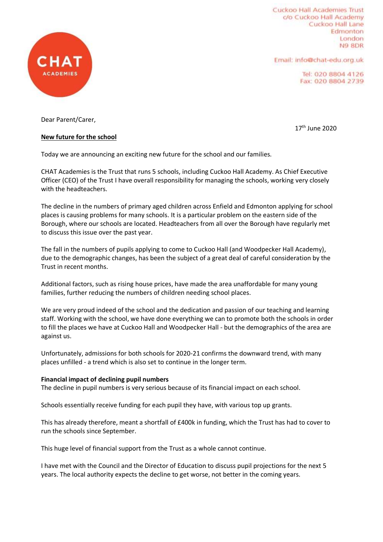

Cuckoo Hall Academies Trust c/o Cuckoo Hall Academy Cuckoo Hall Lane Edmonton London N9 8DR

Email: info@chat-edu.org.uk

17th June 2020

Tel: 020 8804 4126 Fax: 020 8804 2739

Dear Parent/Carer,

# **New future for the school**

Today we are announcing an exciting new future for the school and our families.

CHAT Academies is the Trust that runs 5 schools, including Cuckoo Hall Academy. As Chief Executive Officer (CEO) of the Trust I have overall responsibility for managing the schools, working very closely with the headteachers.

The decline in the numbers of primary aged children across Enfield and Edmonton applying for school places is causing problems for many schools. It is a particular problem on the eastern side of the Borough, where our schools are located. Headteachers from all over the Borough have regularly met to discuss this issue over the past year.

The fall in the numbers of pupils applying to come to Cuckoo Hall (and Woodpecker Hall Academy), due to the demographic changes, has been the subject of a great deal of careful consideration by the Trust in recent months.

Additional factors, such as rising house prices, have made the area unaffordable for many young families, further reducing the numbers of children needing school places.

We are very proud indeed of the school and the dedication and passion of our teaching and learning staff. Working with the school, we have done everything we can to promote both the schools in order to fill the places we have at Cuckoo Hall and Woodpecker Hall - but the demographics of the area are against us.

Unfortunately, admissions for both schools for 2020-21 confirms the downward trend, with many places unfilled - a trend which is also set to continue in the longer term.

#### **Financial impact of declining pupil numbers**

The decline in pupil numbers is very serious because of its financial impact on each school.

Schools essentially receive funding for each pupil they have, with various top up grants.

This has already therefore, meant a shortfall of £400k in funding, which the Trust has had to cover to run the schools since September.

This huge level of financial support from the Trust as a whole cannot continue.

I have met with the Council and the Director of Education to discuss pupil projections for the next 5 years. The local authority expects the decline to get worse, not better in the coming years.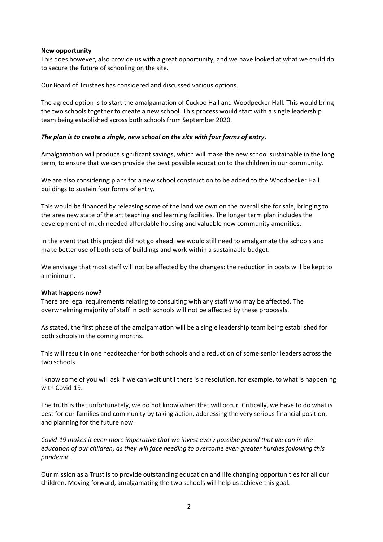#### **New opportunity**

This does however, also provide us with a great opportunity, and we have looked at what we could do to secure the future of schooling on the site.

Our Board of Trustees has considered and discussed various options.

The agreed option is to start the amalgamation of Cuckoo Hall and Woodpecker Hall. This would bring the two schools together to create a new school. This process would start with a single leadership team being established across both schools from September 2020.

#### *The plan is to create a single, new school on the site with four forms of entry.*

Amalgamation will produce significant savings, which will make the new school sustainable in the long term, to ensure that we can provide the best possible education to the children in our community.

We are also considering plans for a new school construction to be added to the Woodpecker Hall buildings to sustain four forms of entry.

This would be financed by releasing some of the land we own on the overall site for sale, bringing to the area new state of the art teaching and learning facilities. The longer term plan includes the development of much needed affordable housing and valuable new community amenities.

In the event that this project did not go ahead, we would still need to amalgamate the schools and make better use of both sets of buildings and work within a sustainable budget.

We envisage that most staff will not be affected by the changes: the reduction in posts will be kept to a minimum.

#### **What happens now?**

There are legal requirements relating to consulting with any staff who may be affected. The overwhelming majority of staff in both schools will not be affected by these proposals.

As stated, the first phase of the amalgamation will be a single leadership team being established for both schools in the coming months.

This will result in one headteacher for both schools and a reduction of some senior leaders across the two schools.

I know some of you will ask if we can wait until there is a resolution, for example, to what is happening with Covid-19.

The truth is that unfortunately, we do not know when that will occur. Critically, we have to do what is best for our families and community by taking action, addressing the very serious financial position, and planning for the future now.

*Covid-19 makes it even more imperative that we invest every possible pound that we can in the education of our children, as they will face needing to overcome even greater hurdles following this pandemic.*

Our mission as a Trust is to provide outstanding education and life changing opportunities for all our children. Moving forward, amalgamating the two schools will help us achieve this goal.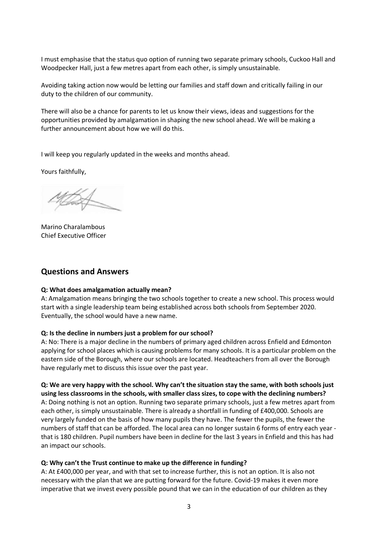I must emphasise that the status quo option of running two separate primary schools, Cuckoo Hall and Woodpecker Hall, just a few metres apart from each other, is simply unsustainable.

Avoiding taking action now would be letting our families and staff down and critically failing in our duty to the children of our community.

There will also be a chance for parents to let us know their views, ideas and suggestions for the opportunities provided by amalgamation in shaping the new school ahead. We will be making a further announcement about how we will do this.

I will keep you regularly updated in the weeks and months ahead.

Yours faithfully,

Marino Charalambous Chief Executive Officer

## **Questions and Answers**

#### **Q: What does amalgamation actually mean?**

A: Amalgamation means bringing the two schools together to create a new school. This process would start with a single leadership team being established across both schools from September 2020. Eventually, the school would have a new name.

#### **Q: Is the decline in numbers just a problem for our school?**

A: No: There is a major decline in the numbers of primary aged children across Enfield and Edmonton applying for school places which is causing problems for many schools. It is a particular problem on the eastern side of the Borough, where our schools are located. Headteachers from all over the Borough have regularly met to discuss this issue over the past year.

**Q: We are very happy with the school. Why can't the situation stay the same, with both schools just using less classrooms in the schools, with smaller class sizes, to cope with the declining numbers?** A: Doing nothing is not an option. Running two separate primary schools, just a few metres apart from each other, is simply unsustainable. There is already a shortfall in funding of £400,000. Schools are very largely funded on the basis of how many pupils they have. The fewer the pupils, the fewer the numbers of staff that can be afforded. The local area can no longer sustain 6 forms of entry each year that is 180 children. Pupil numbers have been in decline for the last 3 years in Enfield and this has had an impact our schools.

#### **Q: Why can't the Trust continue to make up the difference in funding?**

A: At £400,000 per year, and with that set to increase further, this is not an option. It is also not necessary with the plan that we are putting forward for the future. Covid-19 makes it even more imperative that we invest every possible pound that we can in the education of our children as they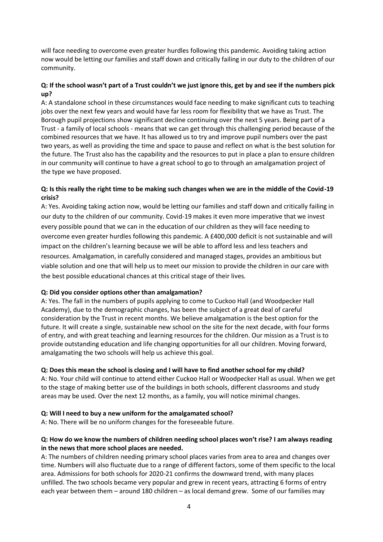will face needing to overcome even greater hurdles following this pandemic. Avoiding taking action now would be letting our families and staff down and critically failing in our duty to the children of our community.

# **Q: If the school wasn't part of a Trust couldn't we just ignore this, get by and see if the numbers pick up?**

A: A standalone school in these circumstances would face needing to make significant cuts to teaching jobs over the next few years and would have far less room for flexibility that we have as Trust. The Borough pupil projections show significant decline continuing over the next 5 years. Being part of a Trust - a family of local schools - means that we can get through this challenging period because of the combined resources that we have. It has allowed us to try and improve pupil numbers over the past two years, as well as providing the time and space to pause and reflect on what is the best solution for the future. The Trust also has the capability and the resources to put in place a plan to ensure children in our community will continue to have a great school to go to through an amalgamation project of the type we have proposed.

# **Q: Is this really the right time to be making such changes when we are in the middle of the Covid-19 crisis?**

A: Yes. Avoiding taking action now, would be letting our families and staff down and critically failing in our duty to the children of our community. Covid-19 makes it even more imperative that we invest every possible pound that we can in the education of our children as they will face needing to overcome even greater hurdles following this pandemic. A £400,000 deficit is not sustainable and will impact on the children's learning because we will be able to afford less and less teachers and resources. Amalgamation, in carefully considered and managed stages, provides an ambitious but viable solution and one that will help us to meet our mission to provide the children in our care with the best possible educational chances at this critical stage of their lives.

## **Q: Did you consider options other than amalgamation?**

A: Yes. The fall in the numbers of pupils applying to come to Cuckoo Hall (and Woodpecker Hall Academy), due to the demographic changes, has been the subject of a great deal of careful consideration by the Trust in recent months. We believe amalgamation is the best option for the future. It will create a single, sustainable new school on the site for the next decade, with four forms of entry, and with great teaching and learning resources for the children. Our mission as a Trust is to provide outstanding education and life changing opportunities for all our children. Moving forward, amalgamating the two schools will help us achieve this goal.

## **Q: Does this mean the school is closing and I will have to find another school for my child?**

A: No. Your child will continue to attend either Cuckoo Hall or Woodpecker Hall as usual. When we get to the stage of making better use of the buildings in both schools, different classrooms and study areas may be used. Over the next 12 months, as a family, you will notice minimal changes.

## **Q: Will I need to buy a new uniform for the amalgamated school?**

A: No. There will be no uniform changes for the foreseeable future.

## **Q: How do we know the numbers of children needing school places won't rise? I am always reading in the news that more school places are needed.**

A: The numbers of children needing primary school places varies from area to area and changes over time. Numbers will also fluctuate due to a range of different factors, some of them specific to the local area. Admissions for both schools for 2020-21 confirms the downward trend, with many places unfilled. The two schools became very popular and grew in recent years, attracting 6 forms of entry each year between them – around 180 children – as local demand grew. Some of our families may